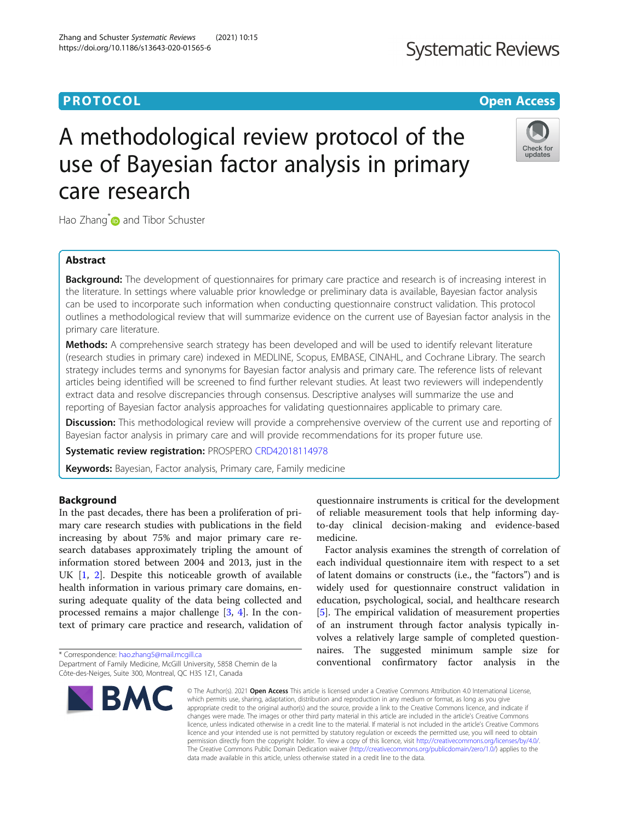# **PROTOCOL CONSUMING THE OPEN ACCESS**

# A methodological review protocol of the use of Bayesian factor analysis in primary care research

Hao Zhang<sup>\*</sup> and Tibor Schuster

# Abstract

**Background:** The development of questionnaires for primary care practice and research is of increasing interest in the literature. In settings where valuable prior knowledge or preliminary data is available, Bayesian factor analysis can be used to incorporate such information when conducting questionnaire construct validation. This protocol outlines a methodological review that will summarize evidence on the current use of Bayesian factor analysis in the primary care literature.

**Methods:** A comprehensive search strategy has been developed and will be used to identify relevant literature (research studies in primary care) indexed in MEDLINE, Scopus, EMBASE, CINAHL, and Cochrane Library. The search strategy includes terms and synonyms for Bayesian factor analysis and primary care. The reference lists of relevant articles being identified will be screened to find further relevant studies. At least two reviewers will independently extract data and resolve discrepancies through consensus. Descriptive analyses will summarize the use and reporting of Bayesian factor analysis approaches for validating questionnaires applicable to primary care.

Discussion: This methodological review will provide a comprehensive overview of the current use and reporting of Bayesian factor analysis in primary care and will provide recommendations for its proper future use.

Systematic review registration: PROSPERO [CRD42018114978](https://www.crd.york.ac.uk/prospero/display_record.php?RecordID=114978)

Keywords: Bayesian, Factor analysis, Primary care, Family medicine

# Background

In the past decades, there has been a proliferation of primary care research studies with publications in the field increasing by about 75% and major primary care research databases approximately tripling the amount of information stored between 2004 and 2013, just in the UK [[1,](#page-3-0) [2\]](#page-3-0). Despite this noticeable growth of available health information in various primary care domains, ensuring adequate quality of the data being collected and processed remains a major challenge [[3,](#page-3-0) [4\]](#page-4-0). In the context of primary care practice and research, validation of

\* Correspondence: [hao.zhang5@mail.mcgill.ca](mailto:hao.zhang5@mail.mcgill.ca)

## Zhang and Schuster Systematic Reviews (2021) 10:15 https://doi.org/10.1186/s13643-020-01565-6

BMC

questionnaire instruments is critical for the development of reliable measurement tools that help informing dayto-day clinical decision-making and evidence-based medicine.

Factor analysis examines the strength of correlation of each individual questionnaire item with respect to a set of latent domains or constructs (i.e., the "factors") and is widely used for questionnaire construct validation in education, psychological, social, and healthcare research [[5\]](#page-4-0). The empirical validation of measurement properties of an instrument through factor analysis typically involves a relatively large sample of completed questionnaires. The suggested minimum sample size for conventional confirmatory factor analysis in the

© The Author(s), 2021 **Open Access** This article is licensed under a Creative Commons Attribution 4.0 International License, which permits use, sharing, adaptation, distribution and reproduction in any medium or format, as long as you give appropriate credit to the original author(s) and the source, provide a link to the Creative Commons licence, and indicate if changes were made. The images or other third party material in this article are included in the article's Creative Commons licence, unless indicated otherwise in a credit line to the material. If material is not included in the article's Creative Commons licence and your intended use is not permitted by statutory regulation or exceeds the permitted use, you will need to obtain permission directly from the copyright holder. To view a copy of this licence, visit [http://creativecommons.org/licenses/by/4.0/.](http://creativecommons.org/licenses/by/4.0/) The Creative Commons Public Domain Dedication waiver [\(http://creativecommons.org/publicdomain/zero/1.0/](http://creativecommons.org/publicdomain/zero/1.0/)) applies to the data made available in this article, unless otherwise stated in a credit line to the data.



Check for updates



Department of Family Medicine, McGill University, 5858 Chemin de la Côte-des-Neiges, Suite 300, Montreal, QC H3S 1Z1, Canada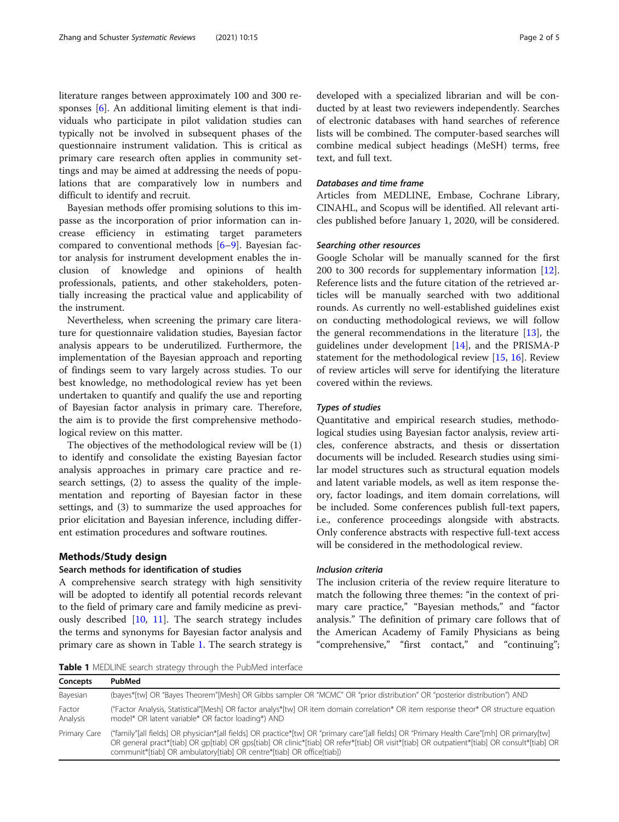literature ranges between approximately 100 and 300 responses [\[6](#page-4-0)]. An additional limiting element is that individuals who participate in pilot validation studies can typically not be involved in subsequent phases of the questionnaire instrument validation. This is critical as primary care research often applies in community settings and may be aimed at addressing the needs of populations that are comparatively low in numbers and difficult to identify and recruit.

Bayesian methods offer promising solutions to this impasse as the incorporation of prior information can increase efficiency in estimating target parameters compared to conventional methods [[6](#page-4-0)–[9](#page-4-0)]. Bayesian factor analysis for instrument development enables the inclusion of knowledge and opinions of health professionals, patients, and other stakeholders, potentially increasing the practical value and applicability of the instrument.

Nevertheless, when screening the primary care literature for questionnaire validation studies, Bayesian factor analysis appears to be underutilized. Furthermore, the implementation of the Bayesian approach and reporting of findings seem to vary largely across studies. To our best knowledge, no methodological review has yet been undertaken to quantify and qualify the use and reporting of Bayesian factor analysis in primary care. Therefore, the aim is to provide the first comprehensive methodological review on this matter.

The objectives of the methodological review will be (1) to identify and consolidate the existing Bayesian factor analysis approaches in primary care practice and research settings, (2) to assess the quality of the implementation and reporting of Bayesian factor in these settings, and (3) to summarize the used approaches for prior elicitation and Bayesian inference, including different estimation procedures and software routines.

# Methods/Study design

# Search methods for identification of studies

A comprehensive search strategy with high sensitivity will be adopted to identify all potential records relevant to the field of primary care and family medicine as previously described [\[10,](#page-4-0) [11](#page-4-0)]. The search strategy includes the terms and synonyms for Bayesian factor analysis and primary care as shown in Table 1. The search strategy is developed with a specialized librarian and will be conducted by at least two reviewers independently. Searches of electronic databases with hand searches of reference lists will be combined. The computer-based searches will combine medical subject headings (MeSH) terms, free text, and full text.

## Databases and time frame

Articles from MEDLINE, Embase, Cochrane Library, CINAHL, and Scopus will be identified. All relevant articles published before January 1, 2020, will be considered.

#### Searching other resources

Google Scholar will be manually scanned for the first 200 to 300 records for supplementary information [\[12](#page-4-0)]. Reference lists and the future citation of the retrieved articles will be manually searched with two additional rounds. As currently no well-established guidelines exist on conducting methodological reviews, we will follow the general recommendations in the literature  $[13]$  $[13]$ , the guidelines under development [[14\]](#page-4-0), and the PRISMA-P statement for the methodological review [[15,](#page-4-0) [16\]](#page-4-0). Review of review articles will serve for identifying the literature covered within the reviews.

# Types of studies

Quantitative and empirical research studies, methodological studies using Bayesian factor analysis, review articles, conference abstracts, and thesis or dissertation documents will be included. Research studies using similar model structures such as structural equation models and latent variable models, as well as item response theory, factor loadings, and item domain correlations, will be included. Some conferences publish full-text papers, i.e., conference proceedings alongside with abstracts. Only conference abstracts with respective full-text access will be considered in the methodological review.

## Inclusion criteria

The inclusion criteria of the review require literature to match the following three themes: "in the context of primary care practice," "Bayesian methods," and "factor analysis." The definition of primary care follows that of the American Academy of Family Physicians as being "comprehensive," "first contact," and "continuing";

Table 1 MEDLINE search strategy through the PubMed interface

| Concepts           | PubMed                                                                                                                                                                                                                                                                                                                                                             |
|--------------------|--------------------------------------------------------------------------------------------------------------------------------------------------------------------------------------------------------------------------------------------------------------------------------------------------------------------------------------------------------------------|
| Bayesian           | (bayes*[tw] OR "Bayes Theorem"[Mesh] OR Gibbs sampler OR "MCMC" OR "prior distribution" OR "posterior distribution") AND                                                                                                                                                                                                                                           |
| Factor<br>Analysis | ("Factor Analysis, Statistical"[Mesh] OR factor analys*[tw] OR item domain correlation* OR item response theor* OR structure equation<br>model* OR latent variable* OR factor loading*) AND                                                                                                                                                                        |
| Primary Care       | ("family"[all fields] OR physician*[all fields] OR practice*[tw] OR "primary care"[all fields] OR "Primary Health Care"[mh] OR primary[tw]<br>OR general pract*[tiab] OR gp[tiab] OR gps[tiab] OR clinic*[tiab] OR refer*[tiab] OR visit*[tiab] OR outpatient*[tiab] OR consult*[tiab] OR<br>communit*[tiab] OR ambulatory[tiab] OR centre*[tiab] OR office[tiab]) |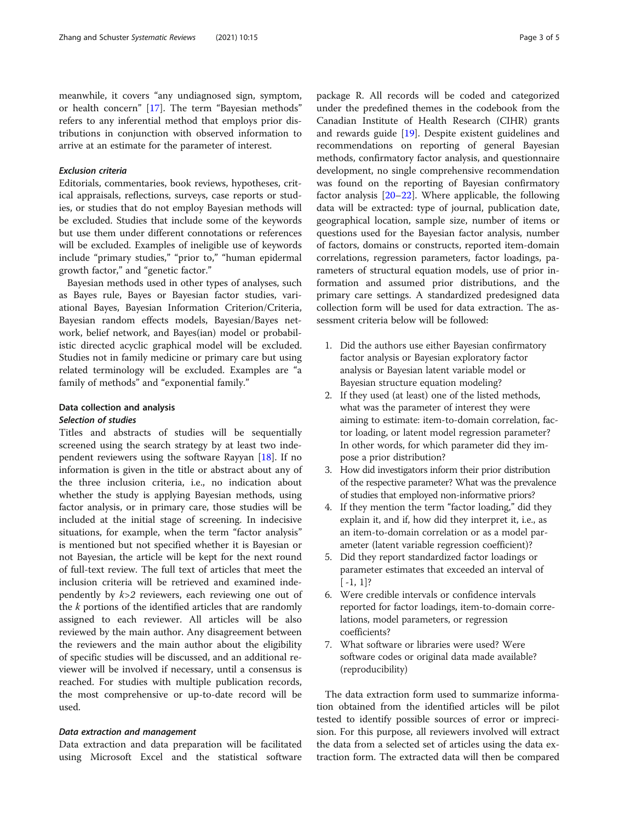meanwhile, it covers "any undiagnosed sign, symptom, or health concern" [[17\]](#page-4-0). The term "Bayesian methods" refers to any inferential method that employs prior distributions in conjunction with observed information to arrive at an estimate for the parameter of interest.

# Exclusion criteria

Editorials, commentaries, book reviews, hypotheses, critical appraisals, reflections, surveys, case reports or studies, or studies that do not employ Bayesian methods will be excluded. Studies that include some of the keywords but use them under different connotations or references will be excluded. Examples of ineligible use of keywords include "primary studies," "prior to," "human epidermal growth factor," and "genetic factor."

Bayesian methods used in other types of analyses, such as Bayes rule, Bayes or Bayesian factor studies, variational Bayes, Bayesian Information Criterion/Criteria, Bayesian random effects models, Bayesian/Bayes network, belief network, and Bayes(ian) model or probabilistic directed acyclic graphical model will be excluded. Studies not in family medicine or primary care but using related terminology will be excluded. Examples are "a family of methods" and "exponential family."

# Data collection and analysis Selection of studies

Titles and abstracts of studies will be sequentially screened using the search strategy by at least two independent reviewers using the software Rayyan [\[18](#page-4-0)]. If no information is given in the title or abstract about any of the three inclusion criteria, i.e., no indication about whether the study is applying Bayesian methods, using factor analysis, or in primary care, those studies will be included at the initial stage of screening. In indecisive situations, for example, when the term "factor analysis" is mentioned but not specified whether it is Bayesian or not Bayesian, the article will be kept for the next round of full-text review. The full text of articles that meet the inclusion criteria will be retrieved and examined independently by  $k>2$  reviewers, each reviewing one out of the k portions of the identified articles that are randomly assigned to each reviewer. All articles will be also reviewed by the main author. Any disagreement between the reviewers and the main author about the eligibility of specific studies will be discussed, and an additional reviewer will be involved if necessary, until a consensus is reached. For studies with multiple publication records, the most comprehensive or up-to-date record will be used.

# Data extraction and management

Data extraction and data preparation will be facilitated using Microsoft Excel and the statistical software package R. All records will be coded and categorized under the predefined themes in the codebook from the Canadian Institute of Health Research (CIHR) grants and rewards guide [\[19\]](#page-4-0). Despite existent guidelines and recommendations on reporting of general Bayesian methods, confirmatory factor analysis, and questionnaire development, no single comprehensive recommendation was found on the reporting of Bayesian confirmatory factor analysis [[20](#page-4-0)–[22](#page-4-0)]. Where applicable, the following data will be extracted: type of journal, publication date, geographical location, sample size, number of items or questions used for the Bayesian factor analysis, number of factors, domains or constructs, reported item-domain correlations, regression parameters, factor loadings, parameters of structural equation models, use of prior information and assumed prior distributions, and the primary care settings. A standardized predesigned data collection form will be used for data extraction. The assessment criteria below will be followed:

- 1. Did the authors use either Bayesian confirmatory factor analysis or Bayesian exploratory factor analysis or Bayesian latent variable model or Bayesian structure equation modeling?
- 2. If they used (at least) one of the listed methods, what was the parameter of interest they were aiming to estimate: item-to-domain correlation, factor loading, or latent model regression parameter? In other words, for which parameter did they impose a prior distribution?
- 3. How did investigators inform their prior distribution of the respective parameter? What was the prevalence of studies that employed non-informative priors?
- 4. If they mention the term "factor loading," did they explain it, and if, how did they interpret it, i.e., as an item-to-domain correlation or as a model parameter (latent variable regression coefficient)?
- 5. Did they report standardized factor loadings or parameter estimates that exceeded an interval of  $[-1, 1]$ ?
- 6. Were credible intervals or confidence intervals reported for factor loadings, item-to-domain correlations, model parameters, or regression coefficients?
- 7. What software or libraries were used? Were software codes or original data made available? (reproducibility)

The data extraction form used to summarize information obtained from the identified articles will be pilot tested to identify possible sources of error or imprecision. For this purpose, all reviewers involved will extract the data from a selected set of articles using the data extraction form. The extracted data will then be compared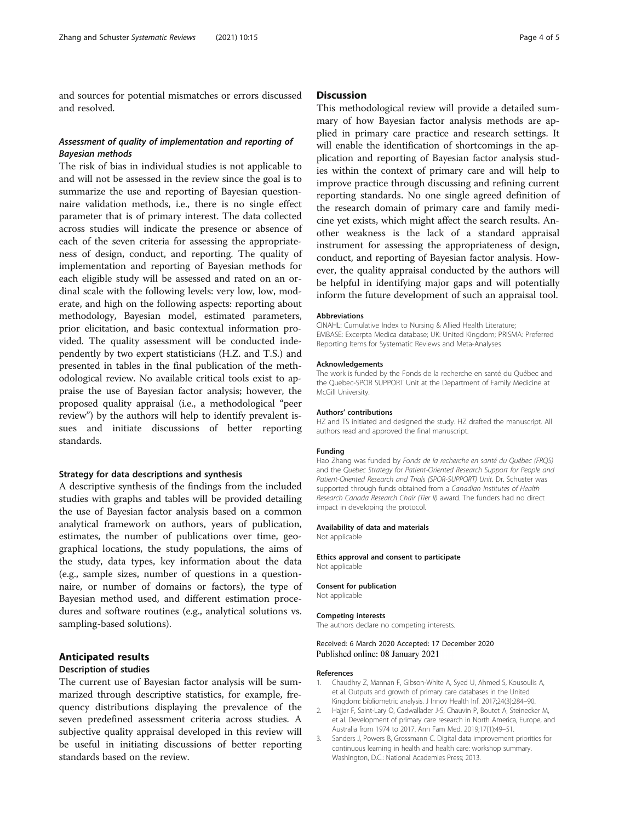<span id="page-3-0"></span>and sources for potential mismatches or errors discussed and resolved.

# Assessment of quality of implementation and reporting of Bayesian methods

The risk of bias in individual studies is not applicable to and will not be assessed in the review since the goal is to summarize the use and reporting of Bayesian questionnaire validation methods, i.e., there is no single effect parameter that is of primary interest. The data collected across studies will indicate the presence or absence of each of the seven criteria for assessing the appropriateness of design, conduct, and reporting. The quality of implementation and reporting of Bayesian methods for each eligible study will be assessed and rated on an ordinal scale with the following levels: very low, low, moderate, and high on the following aspects: reporting about methodology, Bayesian model, estimated parameters, prior elicitation, and basic contextual information provided. The quality assessment will be conducted independently by two expert statisticians (H.Z. and T.S.) and presented in tables in the final publication of the methodological review. No available critical tools exist to appraise the use of Bayesian factor analysis; however, the proposed quality appraisal (i.e., a methodological "peer review") by the authors will help to identify prevalent issues and initiate discussions of better reporting standards.

# Strategy for data descriptions and synthesis

A descriptive synthesis of the findings from the included studies with graphs and tables will be provided detailing the use of Bayesian factor analysis based on a common analytical framework on authors, years of publication, estimates, the number of publications over time, geographical locations, the study populations, the aims of the study, data types, key information about the data (e.g., sample sizes, number of questions in a questionnaire, or number of domains or factors), the type of Bayesian method used, and different estimation procedures and software routines (e.g., analytical solutions vs. sampling-based solutions).

## Anticipated results

#### Description of studies

The current use of Bayesian factor analysis will be summarized through descriptive statistics, for example, frequency distributions displaying the prevalence of the seven predefined assessment criteria across studies. A subjective quality appraisal developed in this review will be useful in initiating discussions of better reporting standards based on the review.

# **Discussion**

This methodological review will provide a detailed summary of how Bayesian factor analysis methods are applied in primary care practice and research settings. It will enable the identification of shortcomings in the application and reporting of Bayesian factor analysis studies within the context of primary care and will help to improve practice through discussing and refining current reporting standards. No one single agreed definition of the research domain of primary care and family medicine yet exists, which might affect the search results. Another weakness is the lack of a standard appraisal instrument for assessing the appropriateness of design, conduct, and reporting of Bayesian factor analysis. However, the quality appraisal conducted by the authors will be helpful in identifying major gaps and will potentially inform the future development of such an appraisal tool.

#### **Abbreviations**

CINAHL: Cumulative Index to Nursing & Allied Health Literature; EMBASE: Excerpta Medica database; UK: United Kingdom; PRISMA: Preferred Reporting Items for Systematic Reviews and Meta-Analyses

#### Acknowledgements

The work is funded by the Fonds de la recherche en santé du Québec and the Quebec-SPOR SUPPORT Unit at the Department of Family Medicine at McGill University.

#### Authors' contributions

HZ and TS initiated and designed the study. HZ drafted the manuscript. All authors read and approved the final manuscript.

#### Funding

Hao Zhang was funded by Fonds de la recherche en santé du Québec (FRQS) and the Quebec Strategy for Patient-Oriented Research Support for People and Patient-Oriented Research and Trials (SPOR-SUPPORT) Unit. Dr. Schuster was supported through funds obtained from a Canadian Institutes of Health Research Canada Research Chair (Tier II) award. The funders had no direct impact in developing the protocol.

### Availability of data and materials

Not applicable

Ethics approval and consent to participate Not applicable

#### Consent for publication Not applicable

Competing interests

The authors declare no competing interests.

### Received: 6 March 2020 Accepted: 17 December 2020 Published online: 08 January 2021

#### References

- 1. Chaudhry Z, Mannan F, Gibson-White A, Syed U, Ahmed S, Kousoulis A, et al. Outputs and growth of primary care databases in the United Kingdom: bibliometric analysis. J Innov Health Inf. 2017;24(3):284–90.
- 2. Hajjar F, Saint-Lary O, Cadwallader J-S, Chauvin P, Boutet A, Steinecker M, et al. Development of primary care research in North America, Europe, and Australia from 1974 to 2017. Ann Fam Med. 2019;17(1):49–51.
- 3. Sanders J, Powers B, Grossmann C. Digital data improvement priorities for continuous learning in health and health care: workshop summary. Washington, D.C.: National Academies Press; 2013.